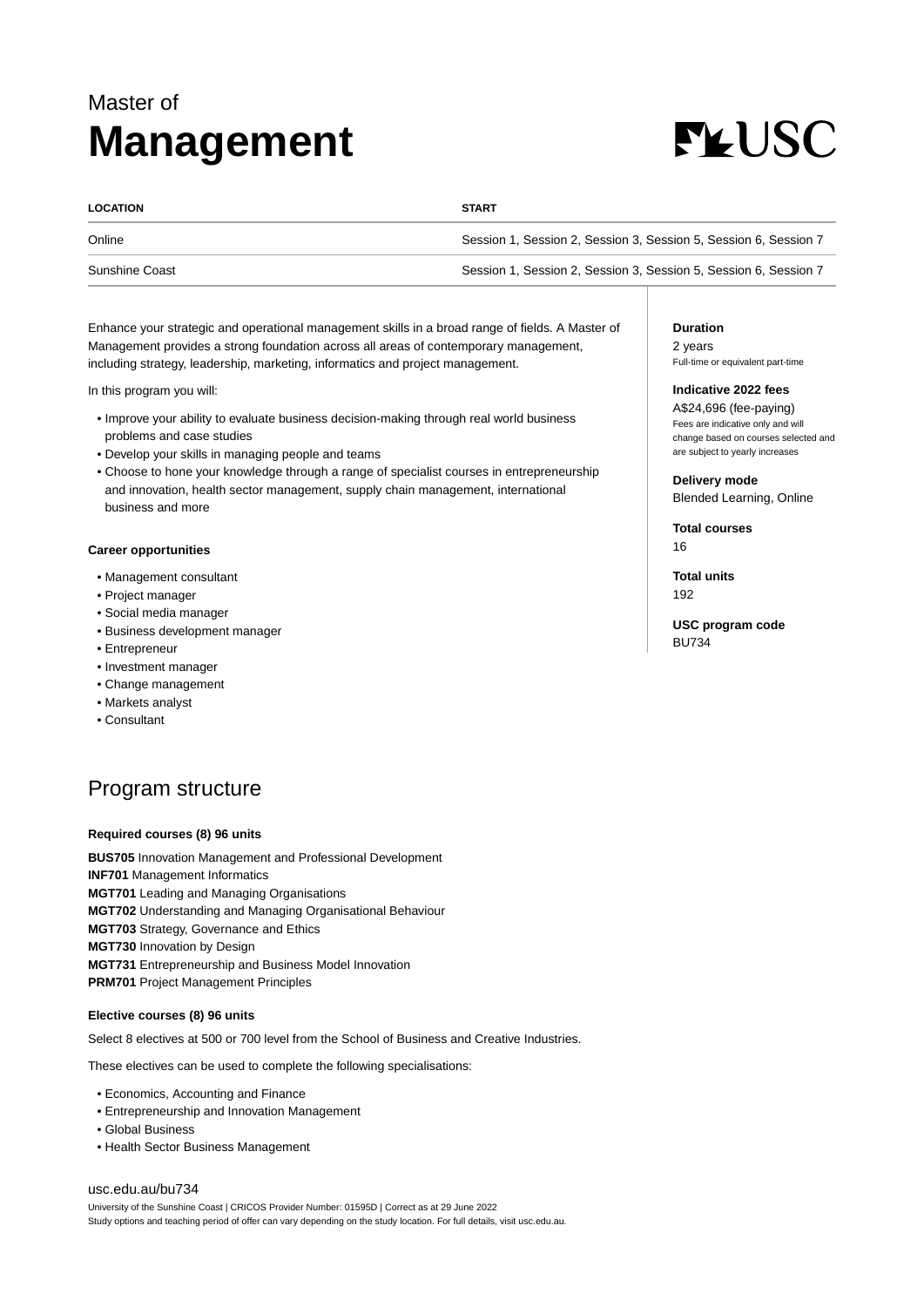## Master of **Management**

# **FLUSC**

| <b>LOCATION</b> | <b>START</b>                                                     |
|-----------------|------------------------------------------------------------------|
| Online          | Session 1, Session 2, Session 3, Session 5, Session 6, Session 7 |
| Sunshine Coast  | Session 1, Session 2, Session 3, Session 5, Session 6, Session 7 |

Enhance your strategic and operational management skills in a broad range of fields. A Master of Management provides a strong foundation across all areas of contemporary management, including strategy, leadership, marketing, informatics and project management.

In this program you will:

- Improve your ability to evaluate business decision-making through real world business problems and case studies
- Develop your skills in managing people and teams
- Choose to hone your knowledge through a range of specialist courses in entrepreneurship and innovation, health sector management, supply chain management, international business and more

#### **Career opportunities**

- Management consultant
- Project manager
- Social media manager
- Business development manager
- Entrepreneur
- Investment manager
- Change management
- Markets analyst
- Consultant

### Program structure

#### **Required courses (8) 96 units**

**BUS705** Innovation Management and Professional Development **INF701** Management Informatics **MGT701** Leading and Managing Organisations **MGT702** Understanding and Managing Organisational Behaviour **MGT703** Strategy, Governance and Ethics **MGT730** Innovation by Design **MGT731** Entrepreneurship and Business Model Innovation **PRM701** Project Management Principles

#### **Elective courses (8) 96 units**

Select 8 electives at 500 or 700 level from the School of Business and Creative Industries.

These electives can be used to complete the following specialisations:

- Economics, Accounting and Finance
- Entrepreneurship and Innovation Management
- Global Business
- Health Sector Business Management

#### [usc.edu.au/bu734](https://www.usc.edu.au/bu734)

University of the Sunshine Coast | CRICOS Provider Number: 01595D | Correct as at 29 June 2022 Study options and teaching period of offer can vary depending on the study location. For full details, visit usc.edu.au. **Duration** 2 years Full-time or equivalent part-time

#### **Indicative 2022 fees**

A\$24,696 (fee-paying) Fees are indicative only and will change based on courses selected and are subject to yearly increases

**Delivery mode** Blended Learning, Online

**Total courses** 16

**Total units** 192

**USC program code** BU734